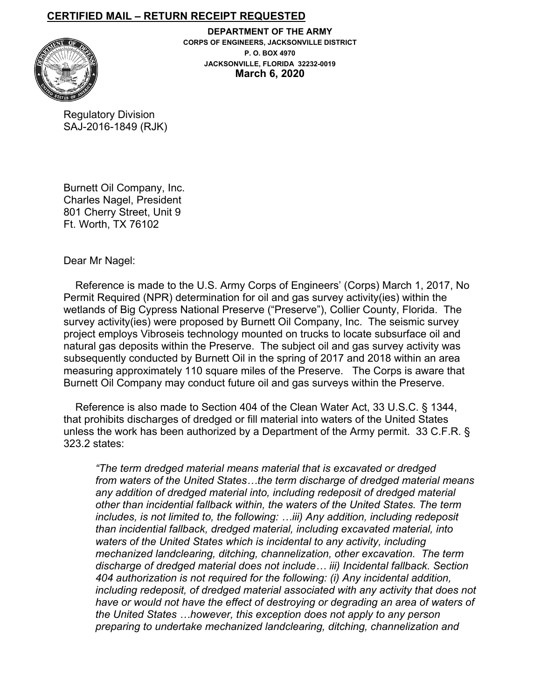## **CERTIFIED MAIL – RETURN RECEIPT REQUESTED**



**DEPARTMENT OF THE ARMY CORPS OF ENGINEERS, JACKSONVILLE DISTRICT P. O. BOX 4970 JACKSONVILLE, FLORIDA 32232-0019 March 6, 2020**

Regulatory Division SAJ-2016-1849 (RJK)

Burnett Oil Company, Inc. Charles Nagel, President 801 Cherry Street, Unit 9 Ft. Worth, TX 76102

Dear Mr Nagel:

 Reference is made to the U.S. Army Corps of Engineers' (Corps) March 1, 2017, No Permit Required (NPR) determination for oil and gas survey activity(ies) within the wetlands of Big Cypress National Preserve ("Preserve"), Collier County, Florida. The survey activity(ies) were proposed by Burnett Oil Company, Inc. The seismic survey project employs Vibroseis technology mounted on trucks to locate subsurface oil and natural gas deposits within the Preserve. The subject oil and gas survey activity was subsequently conducted by Burnett Oil in the spring of 2017 and 2018 within an area measuring approximately 110 square miles of the Preserve. The Corps is aware that Burnett Oil Company may conduct future oil and gas surveys within the Preserve.

 Reference is also made to Section 404 of the Clean Water Act, 33 U.S.C. § 1344, that prohibits discharges of dredged or fill material into waters of the United States unless the work has been authorized by a Department of the Army permit. 33 C.F.R. § 323.2 states:

*"The term dredged material means material that is excavated or dredged from waters of the United States…the term discharge of dredged material means any addition of dredged material into, including redeposit of dredged material other than incidential fallback within, the waters of the United States. The term includes, is not limited to, the following: …iii) Any addition, including redeposit than incidential fallback, dredged material, including excavated material, into waters of the United States which is incidental to any activity, including mechanized landclearing, ditching, channelization, other excavation. The term discharge of dredged material does not include… iii) Incidental fallback. Section 404 authorization is not required for the following: (i) Any incidental addition, including redeposit, of dredged material associated with any activity that does not have or would not have the effect of destroying or degrading an area of waters of the United States …however, this exception does not apply to any person preparing to undertake mechanized landclearing, ditching, channelization and*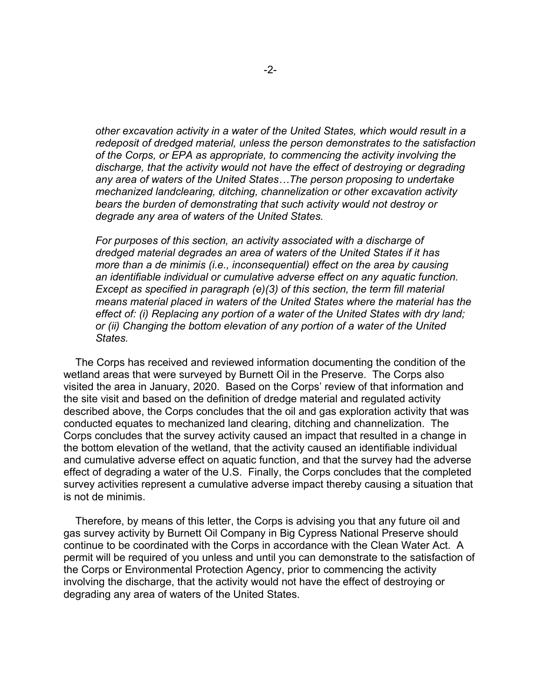*other excavation activity in a water of the United States, which would result in a redeposit of dredged material, unless the person demonstrates to the satisfaction of the Corps, or EPA as appropriate, to commencing the activity involving the discharge, that the activity would not have the effect of destroying or degrading any area of waters of the United States…The person proposing to undertake mechanized landclearing, ditching, channelization or other excavation activity bears the burden of demonstrating that such activity would not destroy or degrade any area of waters of the United States.*

*For purposes of this section, an activity associated with a discharge of dredged material degrades an area of waters of the United States if it has more than a de minimis (i.e., inconsequential) effect on the area by causing an identifiable individual or cumulative adverse effect on any aquatic function. Except as specified in paragraph (e)(3) of this section, the term fill material means material placed in waters of the United States where the material has the effect of: (i) Replacing any portion of a water of the United States with dry land; or (ii) Changing the bottom elevation of any portion of a water of the United States.*

 The Corps has received and reviewed information documenting the condition of the wetland areas that were surveyed by Burnett Oil in the Preserve. The Corps also visited the area in January, 2020. Based on the Corps' review of that information and the site visit and based on the definition of dredge material and regulated activity described above, the Corps concludes that the oil and gas exploration activity that was conducted equates to mechanized land clearing, ditching and channelization. The Corps concludes that the survey activity caused an impact that resulted in a change in the bottom elevation of the wetland, that the activity caused an identifiable individual and cumulative adverse effect on aquatic function, and that the survey had the adverse effect of degrading a water of the U.S. Finally, the Corps concludes that the completed survey activities represent a cumulative adverse impact thereby causing a situation that is not de minimis.

 Therefore, by means of this letter, the Corps is advising you that any future oil and gas survey activity by Burnett Oil Company in Big Cypress National Preserve should continue to be coordinated with the Corps in accordance with the Clean Water Act. A permit will be required of you unless and until you can demonstrate to the satisfaction of the Corps or Environmental Protection Agency, prior to commencing the activity involving the discharge, that the activity would not have the effect of destroying or degrading any area of waters of the United States.